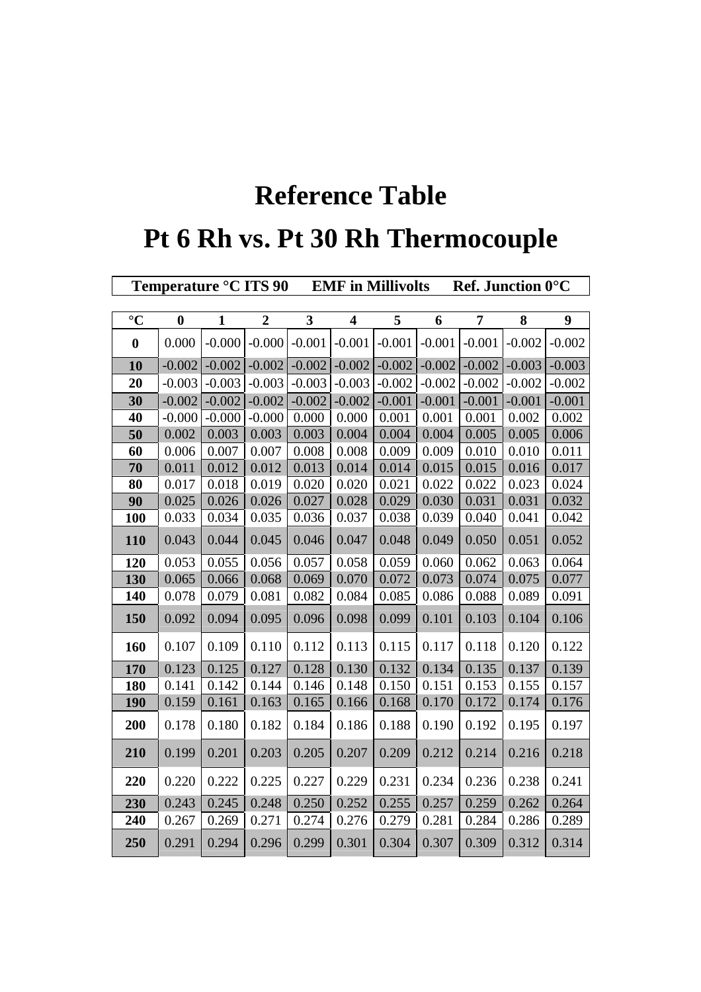## **Reference Table**

## **Pt 6 Rh vs. Pt 30 Rh Thermocouple**

|                | Temperature °C ITS 90 |              |                  |              | <b>EMF</b> in Millivolts |          |          | <b>Ref.</b> Junction $0^{\circ}$ C |          |          |  |  |  |
|----------------|-----------------------|--------------|------------------|--------------|--------------------------|----------|----------|------------------------------------|----------|----------|--|--|--|
|                |                       |              |                  |              |                          |          |          |                                    |          |          |  |  |  |
| $\overline{C}$ | $\boldsymbol{0}$      | $\mathbf{1}$ | $\boldsymbol{2}$ | $\mathbf{3}$ | $\overline{\mathbf{4}}$  | 5        | 6        | 7                                  | 8        | 9        |  |  |  |
| $\bf{0}$       | 0.000                 | $-0.000$     | $-0.000$         | $-0.001$     | $-0.001$                 | $-0.001$ | $-0.001$ | $-0.001$                           | $-0.002$ | $-0.002$ |  |  |  |
| 10             | $-0.002$              | $-0.002$     | $-0.002$         | $-0.002$     | $-0.002$                 | $-0.002$ | $-0.002$ | $-0.002$                           | $-0.003$ | $-0.003$ |  |  |  |
| 20             | $-0.003$              | $-0.003$     | $-0.003$         | $-0.003$     | $-0.003$                 | $-0.002$ | $-0.002$ | $-0.002$                           | $-0.002$ | $-0.002$ |  |  |  |
| 30             | $-0.002$              | $-0.002$     | $-0.002$         | $-0.002$     | $-0.002$                 | $-0.001$ | $-0.001$ | $-0.001$                           | $-0.001$ | $-0.001$ |  |  |  |
| 40             | $-0.000$              | $-0.000$     | $-0.000$         | 0.000        | 0.000                    | 0.001    | 0.001    | 0.001                              | 0.002    | 0.002    |  |  |  |
| 50             | 0.002                 | 0.003        | 0.003            | 0.003        | 0.004                    | 0.004    | 0.004    | 0.005                              | 0.005    | 0.006    |  |  |  |
| 60             | 0.006                 | 0.007        | 0.007            | 0.008        | 0.008                    | 0.009    | 0.009    | 0.010                              | 0.010    | 0.011    |  |  |  |
| 70             | 0.011                 | 0.012        | 0.012            | 0.013        | 0.014                    | 0.014    | 0.015    | 0.015                              | 0.016    | 0.017    |  |  |  |
| 80             | 0.017                 | 0.018        | 0.019            | 0.020        | 0.020                    | 0.021    | 0.022    | 0.022                              | 0.023    | 0.024    |  |  |  |
| 90             | 0.025                 | 0.026        | 0.026            | 0.027        | 0.028                    | 0.029    | 0.030    | 0.031                              | 0.031    | 0.032    |  |  |  |
| 100            | 0.033                 | 0.034        | 0.035            | 0.036        | 0.037                    | 0.038    | 0.039    | 0.040                              | 0.041    | 0.042    |  |  |  |
| 110            | 0.043                 | 0.044        | 0.045            | 0.046        | 0.047                    | 0.048    | 0.049    | 0.050                              | 0.051    | 0.052    |  |  |  |
| 120            | 0.053                 | 0.055        | 0.056            | 0.057        | 0.058                    | 0.059    | 0.060    | 0.062                              | 0.063    | 0.064    |  |  |  |
| 130            | 0.065                 | 0.066        | 0.068            | 0.069        | 0.070                    | 0.072    | 0.073    | 0.074                              | 0.075    | 0.077    |  |  |  |
| 140            | 0.078                 | 0.079        | 0.081            | 0.082        | 0.084                    | 0.085    | 0.086    | 0.088                              | 0.089    | 0.091    |  |  |  |
| 150            | 0.092                 | 0.094        | 0.095            | 0.096        | 0.098                    | 0.099    | 0.101    | 0.103                              | 0.104    | 0.106    |  |  |  |
| 160            | 0.107                 | 0.109        | 0.110            | 0.112        | 0.113                    | 0.115    | 0.117    | 0.118                              | 0.120    | 0.122    |  |  |  |
| 170            | 0.123                 | 0.125        | 0.127            | 0.128        | 0.130                    | 0.132    | 0.134    | 0.135                              | 0.137    | 0.139    |  |  |  |
| 180            | 0.141                 | 0.142        | 0.144            | 0.146        | 0.148                    | 0.150    | 0.151    | 0.153                              | 0.155    | 0.157    |  |  |  |
| 190            | 0.159                 | 0.161        | 0.163            | 0.165        | 0.166                    | 0.168    | 0.170    | 0.172                              | 0.174    | 0.176    |  |  |  |
| 200            | 0.178                 | 0.180        | 0.182            | 0.184        | 0.186                    | 0.188    | 0.190    | 0.192                              | 0.195    | 0.197    |  |  |  |
| 210            | 0.199                 | 0.201        | 0.203            | 0.205        | 0.207                    | 0.209    | 0.212    | 0.214                              | 0.216    | 0.218    |  |  |  |
| 220            | 0.220                 | 0.222        | 0.225            | 0.227        | 0.229                    | 0.231    | 0.234    | 0.236                              | 0.238    | 0.241    |  |  |  |
| 230            | 0.243                 | 0.245        | 0.248            | 0.250        | 0.252                    | 0.255    | 0.257    | 0.259                              | 0.262    | 0.264    |  |  |  |
| 240            | 0.267                 | 0.269        | 0.271            | 0.274        | 0.276                    | 0.279    | 0.281    | 0.284                              | 0.286    | 0.289    |  |  |  |
| 250            | 0.291                 | 0.294        | 0.296            | 0.299        | 0.301                    | 0.304    | 0.307    | 0.309                              | 0.312    | 0.314    |  |  |  |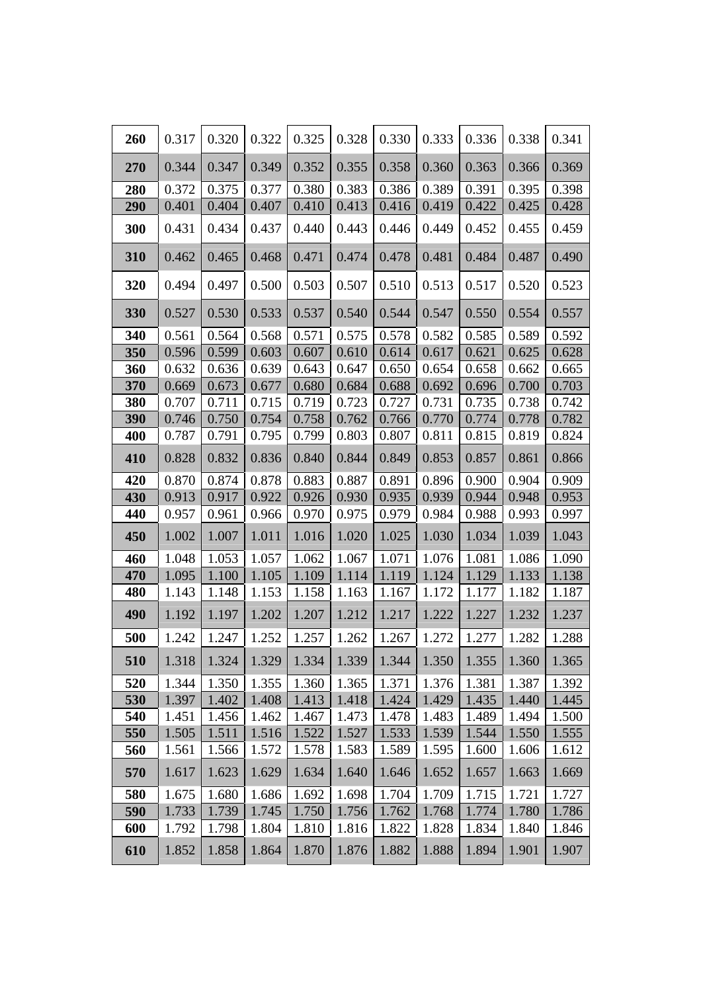| 260        | 0.317          | 0.320          | 0.322          | 0.325          | 0.328          | 0.330          | 0.333          | 0.336          | 0.338          | 0.341          |
|------------|----------------|----------------|----------------|----------------|----------------|----------------|----------------|----------------|----------------|----------------|
| 270        | 0.344          | 0.347          | 0.349          | 0.352          | 0.355          | 0.358          | 0.360          | 0.363          | 0.366          | 0.369          |
| 280        | 0.372          | 0.375          | 0.377          | 0.380          | 0.383          | 0.386          | 0.389          | 0.391          | 0.395          | 0.398          |
| 290        | 0.401          | 0.404          | 0.407          | 0.410          | 0.413          | 0.416          | 0.419          | 0.422          | 0.425          | 0.428          |
| 300        | 0.431          | 0.434          | 0.437          | 0.440          | 0.443          | 0.446          | 0.449          | 0.452          | 0.455          | 0.459          |
| 310        | 0.462          | 0.465          | 0.468          | 0.471          | 0.474          | 0.478          | 0.481          | 0.484          | 0.487          | 0.490          |
| 320        | 0.494          | 0.497          | 0.500          | 0.503          | 0.507          | 0.510          | 0.513          | 0.517          | 0.520          | 0.523          |
| 330        | 0.527          | 0.530          | 0.533          | 0.537          | 0.540          | 0.544          | 0.547          | 0.550          | 0.554          | 0.557          |
| 340        | 0.561          | 0.564          | 0.568          | 0.571          | 0.575          | 0.578          | 0.582          | 0.585          | 0.589          | 0.592          |
| 350        | 0.596          | 0.599          | 0.603          | 0.607          | 0.610          | 0.614          | 0.617          | 0.621          | 0.625          | 0.628          |
| 360        | 0.632          | 0.636          | 0.639          | 0.643          | 0.647          | 0.650          | 0.654          | 0.658          | 0.662          | 0.665          |
| 370        | 0.669          | 0.673          | 0.677          | 0.680          | 0.684          | 0.688          | 0.692          | 0.696          | 0.700          | 0.703          |
| 380        | 0.707          | 0.711          | 0.715          | 0.719          | 0.723          | 0.727          | 0.731          | 0.735          | 0.738          | 0.742          |
| 390        | 0.746          | 0.750          | 0.754          | 0.758          | 0.762          | 0.766          | 0.770          | 0.774          | 0.778          | 0.782          |
| 400        | 0.787          | 0.791          | 0.795          | 0.799          | 0.803          | 0.807          | 0.811          | 0.815          | 0.819          | 0.824          |
| 410        | 0.828          | 0.832          | 0.836          | 0.840          | 0.844          | 0.849          | 0.853          | 0.857          | 0.861          | 0.866          |
| 420        | 0.870          | 0.874          | 0.878          | 0.883          | 0.887          | 0.891          | 0.896          | 0.900          | 0.904          | 0.909          |
| 430        | 0.913          | 0.917          | 0.922          | 0.926          | 0.930          | 0.935          | 0.939          | 0.944          | 0.948          | 0.953          |
| 440        | 0.957          | 0.961          | 0.966          | 0.970          | 0.975          | 0.979          | 0.984          | 0.988          | 0.993          | 0.997          |
| 450        | 1.002          | 1.007          | 1.011          | 1.016          | 1.020          | 1.025          | 1.030          | 1.034          | 1.039          | 1.043          |
| 460        | 1.048          | 1.053          | 1.057          | 1.062          | 1.067          | 1.071          | 1.076          | 1.081          | 1.086          | 1.090          |
| 470        | 1.095          | 1.100          | 1.105          | 1.109          | 1.114          | 1.119          | 1.124          | 1.129          | 1.133          | 1.138          |
| 480        | 1.143          | 1.148          | 1.153          | 1.158          | 1.163          | 1.167          | 1.172          | 1.177          | 1.182          | 1.187          |
| 490        | 1.192          | 1.197          | 1.202          | 1.207          | 1.212          | 1.217          | 1.222          | 1.227          | 1.232          | 1.237          |
| 500        | 1.242          | 1.247          | 1.252          | 1.257          | 1.262          | 1.267          | 1.272          | 1.277          | 1.282          | 1.288          |
| 510        | 1.318          | 1.324          | 1.329          | 1.334          | 1.339          | 1.344          | 1.350          | 1.355          | 1.360          | 1.365          |
| 520        | 1.344          | 1.350          | 1.355          | 1.360          | 1.365          | 1.371          | 1.376          | 1.381          | 1.387          | 1.392          |
| 530        | 1.397          | 1.402          | 1.408          | 1.413          | 1.418          | 1.424          | 1.429          | 1.435          | 1.440          | 1.445          |
| 540        | 1.451<br>1.505 | 1.456          | 1.462<br>1.516 | 1.467          | 1.473          | 1.478          | 1.483<br>1.539 | 1.489          | 1.494<br>1.550 | 1.500          |
| 550<br>560 | 1.561          | 1.511<br>1.566 | 1.572          | 1.522<br>1.578 | 1.527<br>1.583 | 1.533<br>1.589 | 1.595          | 1.544<br>1.600 | 1.606          | 1.555<br>1.612 |
| 570        | 1.617          | 1.623          | 1.629          | 1.634          | 1.640          | 1.646          | 1.652          | 1.657          | 1.663          | 1.669          |
| 580        | 1.675          | 1.680          | 1.686          | 1.692          | 1.698          | 1.704          | 1.709          | 1.715          | 1.721          | 1.727          |
| 590        | 1.733          | 1.739          | 1.745          | 1.750          | 1.756          | 1.762          | 1.768          | 1.774          | 1.780          | 1.786          |
| 600        | 1.792          | 1.798          | 1.804          | 1.810          | 1.816          | 1.822          | 1.828          | 1.834          | 1.840          | 1.846          |
| 610        | 1.852          | 1.858          | 1.864          | 1.870          | 1.876          | 1.882          | 1.888          | 1.894          | 1.901          | 1.907          |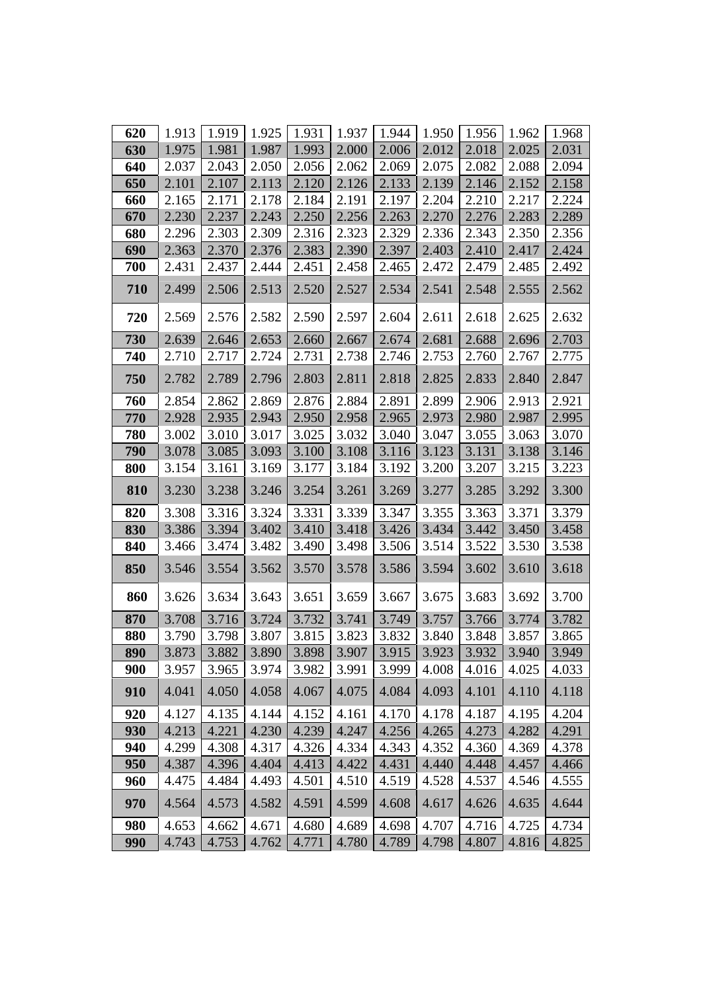| 620 | 1.913 | 1.919 | 1.925 | 1.931              | 1.937 | 1.944 | 1.950 | 1.956   | 1.962 | 1.968 |
|-----|-------|-------|-------|--------------------|-------|-------|-------|---------|-------|-------|
| 630 | 1.975 | 1.981 | 1.987 | 1.993              | 2.000 | 2.006 | 2.012 | 2.018   | 2.025 | 2.031 |
| 640 | 2.037 | 2.043 | 2.050 | 2.056              | 2.062 | 2.069 | 2.075 | 2.082   | 2.088 | 2.094 |
| 650 | 2.101 | 2.107 | 2.113 | 2.120              | 2.126 | 2.133 | 2.139 | 2.146   | 2.152 | 2.158 |
| 660 | 2.165 | 2.171 | 2.178 | 2.184              | 2.191 | 2.197 | 2.204 | 2.210   | 2.217 | 2.224 |
| 670 | 2.230 | 2.237 | 2.243 | 2.250              | 2.256 | 2.263 | 2.270 | 2.276   | 2.283 | 2.289 |
| 680 | 2.296 | 2.303 | 2.309 | 2.316              | 2.323 | 2.329 | 2.336 | 2.343   | 2.350 | 2.356 |
| 690 | 2.363 | 2.370 | 2.376 | 2.383              | 2.390 | 2.397 | 2.403 | 2.410   | 2.417 | 2.424 |
| 700 | 2.431 | 2.437 | 2.444 | 2.451              | 2.458 | 2.465 | 2.472 | 2.479   | 2.485 | 2.492 |
| 710 | 2.499 | 2.506 | 2.513 | 2.520              | 2.527 | 2.534 | 2.541 | 2.548   | 2.555 | 2.562 |
| 720 | 2.569 | 2.576 | 2.582 | 2.590              | 2.597 | 2.604 | 2.611 | 2.618   | 2.625 | 2.632 |
| 730 | 2.639 | 2.646 | 2.653 | 2.660              | 2.667 | 2.674 | 2.681 | 2.688   | 2.696 | 2.703 |
| 740 | 2.710 | 2.717 | 2.724 | 2.731              | 2.738 | 2.746 | 2.753 | 2.760   | 2.767 | 2.775 |
| 750 | 2.782 | 2.789 | 2.796 | 2.803              | 2.811 | 2.818 | 2.825 | 2.833   | 2.840 | 2.847 |
| 760 | 2.854 | 2.862 | 2.869 | 2.876              | 2.884 | 2.891 | 2.899 | 2.906   | 2.913 | 2.921 |
| 770 | 2.928 | 2.935 | 2.943 | 2.950              | 2.958 | 2.965 | 2.973 | 2.980   | 2.987 | 2.995 |
| 780 | 3.002 | 3.010 | 3.017 | 3.025              | 3.032 | 3.040 | 3.047 | 3.055   | 3.063 | 3.070 |
| 790 | 3.078 | 3.085 | 3.093 | 3.100              | 3.108 | 3.116 | 3.123 | 3.131   | 3.138 | 3.146 |
| 800 | 3.154 | 3.161 | 3.169 | 3.177              | 3.184 | 3.192 | 3.200 | 3.207   | 3.215 | 3.223 |
| 810 | 3.230 | 3.238 | 3.246 | 3.254              | 3.261 | 3.269 | 3.277 | 3.285   | 3.292 | 3.300 |
| 820 | 3.308 | 3.316 | 3.324 | 3.331              | 3.339 | 3.347 | 3.355 | 3.363   | 3.371 | 3.379 |
| 830 | 3.386 | 3.394 | 3.402 | 3.410              | 3.418 | 3.426 | 3.434 | 3.442   | 3.450 | 3.458 |
| 840 | 3.466 | 3.474 | 3.482 | 3.490              | 3.498 | 3.506 | 3.514 | 3.522   | 3.530 | 3.538 |
| 850 | 3.546 | 3.554 | 3.562 | 3.570              | 3.578 | 3.586 | 3.594 | 3.602   | 3.610 | 3.618 |
| 860 | 3.626 | 3.634 | 3.643 | 3.651              | 3.659 | 3.667 | 3.675 | 3.683   | 3.692 | 3.700 |
| 870 | 3.708 | 3.716 | 3.724 | 3.732              | 3.741 | 3.749 | 3.757 | 3.766   | 3.774 | 3.782 |
| 880 | 3.790 | 3.798 | 3.807 | 3.815              | 3.823 | 3.832 | 3.840 | 3.848   | 3.857 | 3.865 |
| 890 | 3.873 | 3.882 |       | $3.890 \mid 3.898$ | 3.907 | 3.915 | 3.923 | $3.932$ | 3.940 | 3.949 |
| 900 | 3.957 | 3.965 | 3.974 | 3.982              | 3.991 | 3.999 | 4.008 | 4.016   | 4.025 | 4.033 |
| 910 | 4.041 | 4.050 | 4.058 | 4.067              | 4.075 | 4.084 | 4.093 | 4.101   | 4.110 | 4.118 |
| 920 | 4.127 | 4.135 | 4.144 | 4.152              | 4.161 | 4.170 | 4.178 | 4.187   | 4.195 | 4.204 |
| 930 | 4.213 | 4.221 | 4.230 | 4.239              | 4.247 | 4.256 | 4.265 | 4.273   | 4.282 | 4.291 |
| 940 | 4.299 | 4.308 | 4.317 | 4.326              | 4.334 | 4.343 | 4.352 | 4.360   | 4.369 | 4.378 |
| 950 | 4.387 | 4.396 | 4.404 | 4.413              | 4.422 | 4.431 | 4.440 | 4.448   | 4.457 | 4.466 |
| 960 | 4.475 | 4.484 | 4.493 | 4.501              | 4.510 | 4.519 | 4.528 | 4.537   | 4.546 | 4.555 |
| 970 | 4.564 | 4.573 | 4.582 | 4.591              | 4.599 | 4.608 | 4.617 | 4.626   | 4.635 | 4.644 |
| 980 | 4.653 | 4.662 | 4.671 | 4.680              | 4.689 | 4.698 | 4.707 | 4.716   | 4.725 | 4.734 |
| 990 | 4.743 | 4.753 | 4.762 | 4.771              | 4.780 | 4.789 | 4.798 | 4.807   | 4.816 | 4.825 |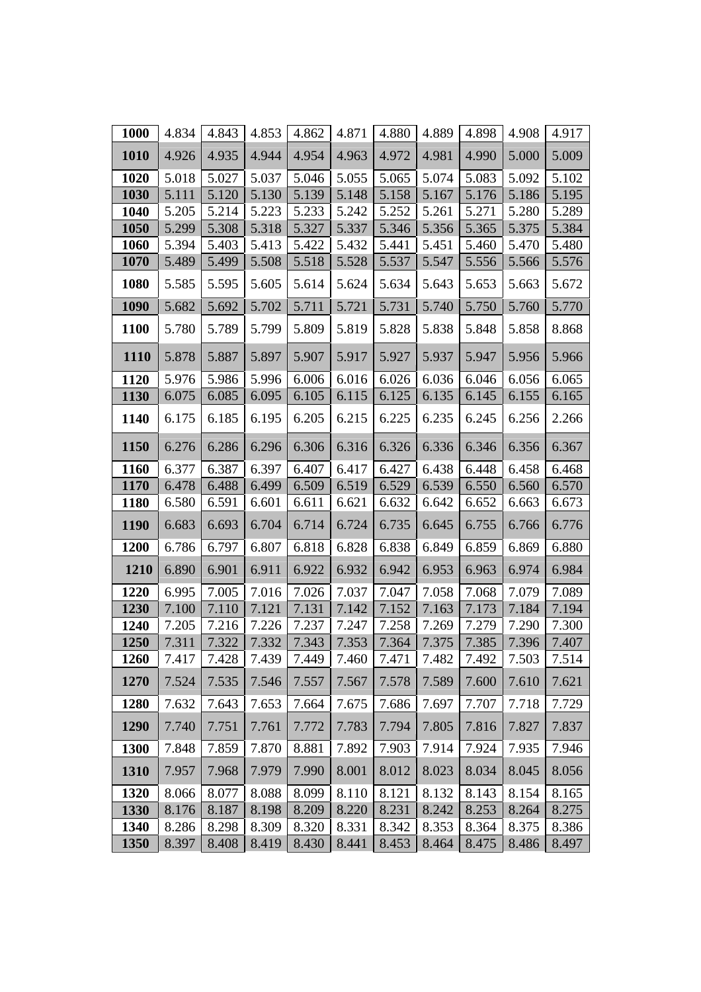| 1000        | 4.834 | 4.843 | 4.853 | 4.862 | 4.871 | 4.880 | 4.889 | 4.898 | 4.908 | 4.917 |
|-------------|-------|-------|-------|-------|-------|-------|-------|-------|-------|-------|
| 1010        | 4.926 | 4.935 | 4.944 | 4.954 | 4.963 | 4.972 | 4.981 | 4.990 | 5.000 | 5.009 |
| 1020        | 5.018 | 5.027 | 5.037 | 5.046 | 5.055 | 5.065 | 5.074 | 5.083 | 5.092 | 5.102 |
| 1030        | 5.111 | 5.120 | 5.130 | 5.139 | 5.148 | 5.158 | 5.167 | 5.176 | 5.186 | 5.195 |
| 1040        | 5.205 | 5.214 | 5.223 | 5.233 | 5.242 | 5.252 | 5.261 | 5.271 | 5.280 | 5.289 |
| 1050        | 5.299 | 5.308 | 5.318 | 5.327 | 5.337 | 5.346 | 5.356 | 5.365 | 5.375 | 5.384 |
| 1060        | 5.394 | 5.403 | 5.413 | 5.422 | 5.432 | 5.441 | 5.451 | 5.460 | 5.470 | 5.480 |
| 1070        | 5.489 | 5.499 | 5.508 | 5.518 | 5.528 | 5.537 | 5.547 | 5.556 | 5.566 | 5.576 |
| 1080        | 5.585 | 5.595 | 5.605 | 5.614 | 5.624 | 5.634 | 5.643 | 5.653 | 5.663 | 5.672 |
| 1090        | 5.682 | 5.692 | 5.702 | 5.711 | 5.721 | 5.731 | 5.740 | 5.750 | 5.760 | 5.770 |
| <b>1100</b> | 5.780 | 5.789 | 5.799 | 5.809 | 5.819 | 5.828 | 5.838 | 5.848 | 5.858 | 8.868 |
| <b>1110</b> | 5.878 | 5.887 | 5.897 | 5.907 | 5.917 | 5.927 | 5.937 | 5.947 | 5.956 | 5.966 |
| 1120        | 5.976 | 5.986 | 5.996 | 6.006 | 6.016 | 6.026 | 6.036 | 6.046 | 6.056 | 6.065 |
| 1130        | 6.075 | 6.085 | 6.095 | 6.105 | 6.115 | 6.125 | 6.135 | 6.145 | 6.155 | 6.165 |
| 1140        | 6.175 | 6.185 | 6.195 | 6.205 | 6.215 | 6.225 | 6.235 | 6.245 | 6.256 | 2.266 |
| 1150        | 6.276 | 6.286 | 6.296 | 6.306 | 6.316 | 6.326 | 6.336 | 6.346 | 6.356 | 6.367 |
| 1160        | 6.377 | 6.387 | 6.397 | 6.407 | 6.417 | 6.427 | 6.438 | 6.448 | 6.458 | 6.468 |
| 1170        | 6.478 | 6.488 | 6.499 | 6.509 | 6.519 | 6.529 | 6.539 | 6.550 | 6.560 | 6.570 |
| <b>1180</b> | 6.580 | 6.591 | 6.601 | 6.611 | 6.621 | 6.632 | 6.642 | 6.652 | 6.663 | 6.673 |
| 1190        | 6.683 | 6.693 | 6.704 | 6.714 | 6.724 | 6.735 | 6.645 | 6.755 | 6.766 | 6.776 |
| 1200        | 6.786 | 6.797 | 6.807 | 6.818 | 6.828 | 6.838 | 6.849 | 6.859 | 6.869 | 6.880 |
| 1210        | 6.890 | 6.901 | 6.911 | 6.922 | 6.932 | 6.942 | 6.953 | 6.963 | 6.974 | 6.984 |
| 1220        | 6.995 | 7.005 | 7.016 | 7.026 | 7.037 | 7.047 | 7.058 | 7.068 | 7.079 | 7.089 |
| 1230        | 7.100 | 7.110 | 7.121 | 7.131 | 7.142 | 7.152 | 7.163 | 7.173 | 7.184 | 7.194 |
| 1240        | 7.205 | 7.216 | 7.226 | 7.237 | 7.247 | 7.258 | 7.269 | 7.279 | 7.290 | 7.300 |
| 1250        | 7.311 | 7.322 | 7.332 | 7.343 | 7.353 | 7.364 | 7.375 | 7.385 | 7.396 | 7.407 |
| 1260        | 7.417 | 7.428 | 7.439 | 7.449 | 7.460 | 7.471 | 7.482 | 7.492 | 7.503 | 7.514 |
| 1270        | 7.524 | 7.535 | 7.546 | 7.557 | 7.567 | 7.578 | 7.589 | 7.600 | 7.610 | 7.621 |
| 1280        | 7.632 | 7.643 | 7.653 | 7.664 | 7.675 | 7.686 | 7.697 | 7.707 | 7.718 | 7.729 |
| 1290        | 7.740 | 7.751 | 7.761 | 7.772 | 7.783 | 7.794 | 7.805 | 7.816 | 7.827 | 7.837 |
| 1300        | 7.848 | 7.859 | 7.870 | 8.881 | 7.892 | 7.903 | 7.914 | 7.924 | 7.935 | 7.946 |
| 1310        | 7.957 | 7.968 | 7.979 | 7.990 | 8.001 | 8.012 | 8.023 | 8.034 | 8.045 | 8.056 |
| 1320        | 8.066 | 8.077 | 8.088 | 8.099 | 8.110 | 8.121 | 8.132 | 8.143 | 8.154 | 8.165 |
| 1330        | 8.176 | 8.187 | 8.198 | 8.209 | 8.220 | 8.231 | 8.242 | 8.253 | 8.264 | 8.275 |
| 1340        | 8.286 | 8.298 | 8.309 | 8.320 | 8.331 | 8.342 | 8.353 | 8.364 | 8.375 | 8.386 |
| 1350        | 8.397 | 8.408 | 8.419 | 8.430 | 8.441 | 8.453 | 8.464 | 8.475 | 8.486 | 8.497 |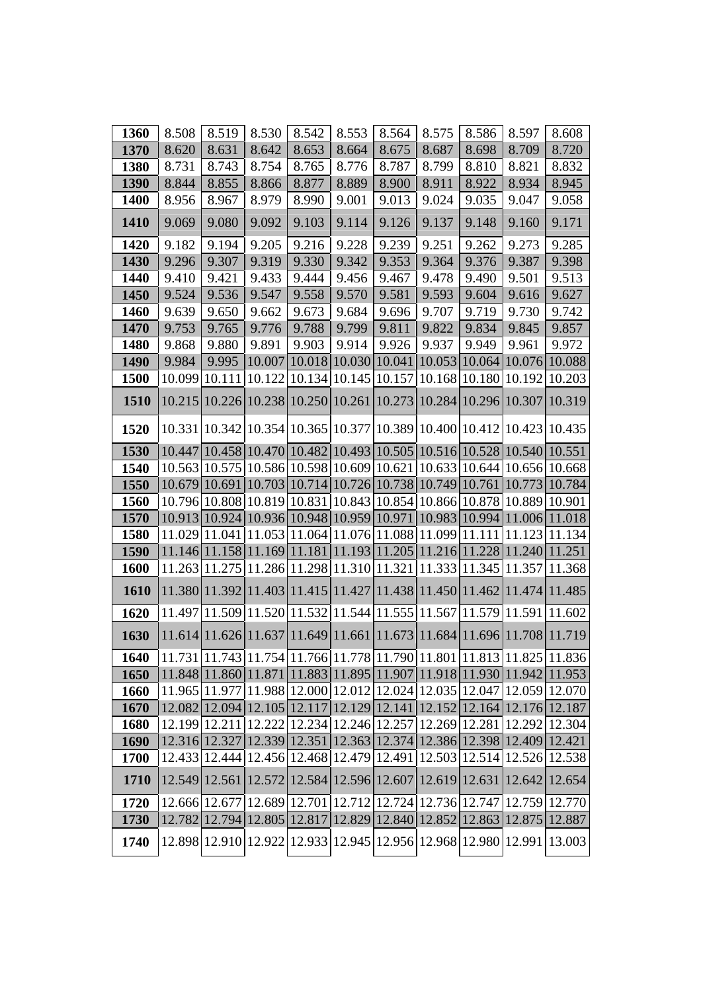| 1360        | 8.508  | 8.519  | 8.530  | 8.542                                                                   | 8.553 | 8.564  | 8.575                | 8.586  | 8.597  | 8.608         |
|-------------|--------|--------|--------|-------------------------------------------------------------------------|-------|--------|----------------------|--------|--------|---------------|
| 1370        | 8.620  | 8.631  | 8.642  | 8.653                                                                   | 8.664 | 8.675  | 8.687                | 8.698  | 8.709  | 8.720         |
| 1380        | 8.731  | 8.743  | 8.754  | 8.765                                                                   | 8.776 | 8.787  | 8.799                | 8.810  | 8.821  | 8.832         |
| 1390        | 8.844  | 8.855  | 8.866  | 8.877                                                                   | 8.889 | 8.900  | 8.911                | 8.922  | 8.934  | 8.945         |
| 1400        | 8.956  | 8.967  | 8.979  | 8.990                                                                   | 9.001 | 9.013  | 9.024                | 9.035  | 9.047  | 9.058         |
| 1410        | 9.069  | 9.080  | 9.092  | 9.103                                                                   | 9.114 | 9.126  | 9.137                | 9.148  | 9.160  | 9.171         |
| 1420        | 9.182  | 9.194  | 9.205  | 9.216                                                                   | 9.228 | 9.239  | 9.251                | 9.262  | 9.273  | 9.285         |
| 1430        | 9.296  | 9.307  | 9.319  | 9.330                                                                   | 9.342 | 9.353  | 9.364                | 9.376  | 9.387  | 9.398         |
| 1440        | 9.410  | 9.421  | 9.433  | 9.444                                                                   | 9.456 | 9.467  | 9.478                | 9.490  | 9.501  | 9.513         |
| 1450        | 9.524  | 9.536  | 9.547  | 9.558                                                                   | 9.570 | 9.581  | 9.593                | 9.604  | 9.616  | 9.627         |
| 1460        | 9.639  | 9.650  | 9.662  | 9.673                                                                   | 9.684 | 9.696  | 9.707                | 9.719  | 9.730  | 9.742         |
| 1470        | 9.753  | 9.765  | 9.776  | 9.788                                                                   | 9.799 | 9.811  | 9.822                | 9.834  | 9.845  | 9.857         |
| 1480        | 9.868  | 9.880  | 9.891  | 9.903                                                                   | 9.914 | 9.926  | 9.937                | 9.949  | 9.961  | 9.972         |
| 1490        | 9.984  | 9.995  |        | 10.007 10.018 10.030                                                    |       |        | 10.041 10.053 10.064 |        |        | 10.076 10.088 |
| 1500        | 10.099 | 10.111 | 10.122 | 10.134 10.145                                                           |       | 10.157 | 10.168               | 10.180 | 10.192 | 10.203        |
| <b>1510</b> | 10.215 |        |        | 10.226 10.238 10.250 10.261 10.273 10.284 10.296 10.307                 |       |        |                      |        |        | 10.319        |
| 1520        |        |        |        | 10.331 10.342 10.354 10.365 10.377 10.389 10.400 10.412 10.423 10.435   |       |        |                      |        |        |               |
| 1530        |        |        |        | 10.447 10.458 10.470 10.482 10.493 10.505 10.516 10.528 10.540 10.551   |       |        |                      |        |        |               |
| 1540        |        |        |        | 10.563 10.575 10.586 10.598 10.609 10.621 10.633 10.644 10.656 10.668   |       |        |                      |        |        |               |
| 1550        |        |        |        | 10.679 10.691 10.703 10.714 10.726 10.738 10.749 10.761 10.773 10.784   |       |        |                      |        |        |               |
| <b>1560</b> |        |        |        | 10.796 10.808 10.819 10.831 10.843 10.854 10.866 10.878 10.889 10.901   |       |        |                      |        |        |               |
| 1570        |        |        |        | 10.913 10.924 10.936 10.948 10.959 10.971 10.983 10.994 11.006 11.018   |       |        |                      |        |        |               |
| 1580        |        |        |        | 11.029 11.041 11.053 11.064 11.076 11.088 11.099 11.111                 |       |        |                      |        |        | 11.123 11.134 |
| 1590        |        |        |        | $11.146 11.158 11.169 11.181 11.193 11.205 11.216 11.228 11.240 11.251$ |       |        |                      |        |        |               |
| 1600        |        |        |        | 11.263 11.275 11.286 11.298 11.310 11.321 11.333 11.345 11.357 11.368   |       |        |                      |        |        |               |
| 1610        |        |        |        | $11.380 11.392 11.403 11.415 11.427 11.438 11.450 11.462 11.474 11.485$ |       |        |                      |        |        |               |
| 1620        |        |        |        | 11.497 11.509 11.520 11.532 11.544 11.555 11.567 11.579 11.591 11.602   |       |        |                      |        |        |               |
| 1630        |        |        |        | 11.614 11.626 11.637 11.649 11.661 11.673 11.684 11.696 11.708 11.719   |       |        |                      |        |        |               |
| 1640        |        |        |        | 11.731 11.743 11.754 11.766 11.778 11.790 11.801 11.813 11.825 11.836   |       |        |                      |        |        |               |
| 1650        |        |        |        | 11.848 11.860 11.871 11.883 11.895 11.907 11.918 11.930 11.942 11.953   |       |        |                      |        |        |               |
| 1660        |        |        |        | 11.965 11.977 11.988 12.000 12.012 12.024 12.035 12.047 12.059 12.070   |       |        |                      |        |        |               |
| 1670        |        |        |        | 12.082 12.094 12.105 12.117 12.129 12.141 12.152 12.164 12.176 12.187   |       |        |                      |        |        |               |
| 1680        |        |        |        | 12.199 12.211 12.222 12.234 12.246 12.257 12.269 12.281 12.292 12.304   |       |        |                      |        |        |               |
| 1690        |        |        |        | 12.316 12.327 12.339 12.351 12.363 12.374 12.386 12.398 12.409 12.421   |       |        |                      |        |        |               |
| 1700        |        |        |        | 12.433 12.444 12.456 12.468 12.479 12.491 12.503 12.514 12.526 12.538   |       |        |                      |        |        |               |
| 1710        |        |        |        | 12.549 12.561 12.572 12.584 12.596 12.607 12.619 12.631 12.642 12.654   |       |        |                      |        |        |               |
| 1720        |        |        |        | 12.666 12.677 12.689 12.701 12.712 12.724 12.736 12.747 12.759 12.770   |       |        |                      |        |        |               |
| 1730        |        |        |        | 12.782 12.794 12.805 12.817 12.829 12.840 12.852 12.863 12.875 12.887   |       |        |                      |        |        |               |
| 1740        |        |        |        | 12.898 12.910 12.922 12.933 12.945 12.956 12.968 12.980 12.991 13.003   |       |        |                      |        |        |               |